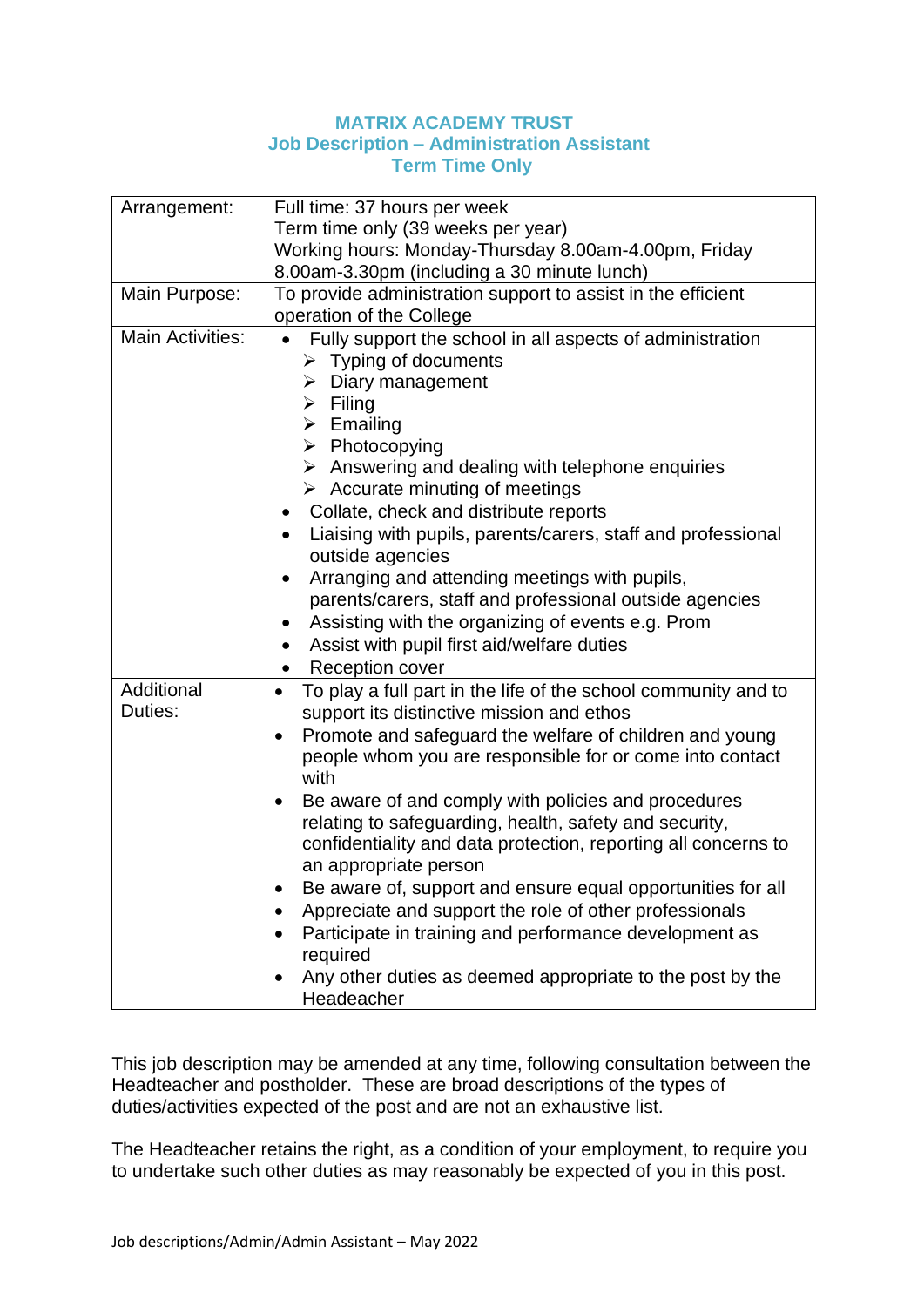## **MATRIX ACADEMY TRUST Job Description – Administration Assistant Term Time Only**

| Arrangement:            | Full time: 37 hours per week                                                |  |  |  |
|-------------------------|-----------------------------------------------------------------------------|--|--|--|
|                         | Term time only (39 weeks per year)                                          |  |  |  |
|                         | Working hours: Monday-Thursday 8.00am-4.00pm, Friday                        |  |  |  |
|                         | 8.00am-3.30pm (including a 30 minute lunch)                                 |  |  |  |
| Main Purpose:           | To provide administration support to assist in the efficient                |  |  |  |
|                         | operation of the College                                                    |  |  |  |
| <b>Main Activities:</b> | Fully support the school in all aspects of administration                   |  |  |  |
|                         | $\triangleright$ Typing of documents                                        |  |  |  |
|                         | $\triangleright$ Diary management                                           |  |  |  |
|                         | $\triangleright$ Filing                                                     |  |  |  |
|                         | $\triangleright$ Emailing                                                   |  |  |  |
|                         | $\triangleright$ Photocopying                                               |  |  |  |
|                         | $\triangleright$ Answering and dealing with telephone enquiries             |  |  |  |
|                         | $\triangleright$ Accurate minuting of meetings                              |  |  |  |
|                         | Collate, check and distribute reports<br>$\bullet$                          |  |  |  |
|                         | Liaising with pupils, parents/carers, staff and professional<br>$\bullet$   |  |  |  |
|                         | outside agencies                                                            |  |  |  |
|                         | Arranging and attending meetings with pupils,<br>$\bullet$                  |  |  |  |
|                         | parents/carers, staff and professional outside agencies                     |  |  |  |
|                         | Assisting with the organizing of events e.g. Prom<br>$\bullet$              |  |  |  |
|                         | Assist with pupil first aid/welfare duties<br>$\bullet$                     |  |  |  |
|                         | <b>Reception cover</b><br>$\bullet$                                         |  |  |  |
| Additional              | To play a full part in the life of the school community and to<br>$\bullet$ |  |  |  |
| Duties:                 | support its distinctive mission and ethos                                   |  |  |  |
|                         | Promote and safeguard the welfare of children and young<br>$\bullet$        |  |  |  |
|                         | people whom you are responsible for or come into contact<br>with            |  |  |  |
|                         | Be aware of and comply with policies and procedures<br>٠                    |  |  |  |
|                         | relating to safeguarding, health, safety and security,                      |  |  |  |
|                         | confidentiality and data protection, reporting all concerns to              |  |  |  |
|                         | an appropriate person                                                       |  |  |  |
|                         | Be aware of, support and ensure equal opportunities for all                 |  |  |  |
|                         | Appreciate and support the role of other professionals                      |  |  |  |
|                         | Participate in training and performance development as                      |  |  |  |
|                         | required                                                                    |  |  |  |
|                         | Any other duties as deemed appropriate to the post by the                   |  |  |  |
|                         | Headeacher                                                                  |  |  |  |
|                         |                                                                             |  |  |  |

This job description may be amended at any time, following consultation between the Headteacher and postholder. These are broad descriptions of the types of duties/activities expected of the post and are not an exhaustive list.

The Headteacher retains the right, as a condition of your employment, to require you to undertake such other duties as may reasonably be expected of you in this post.